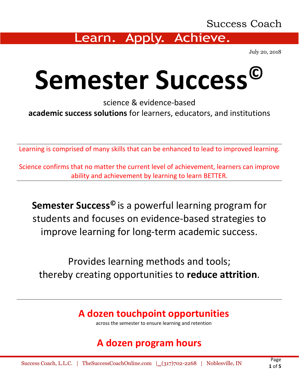# Success Coach

# Learn. Apply. Achieve.

July 20, 2018

# **Semester Success**

science & evidence-based

**academic success solutions** for learners, educators, and institutions

Learning is comprised of many skills that can be enhanced to lead to improved learning.

Science confirms that no matter the current level of achievement, learners can improve ability and achievement by learning to learn BETTER.

**Semester Success©** is a powerful learning program for students and focuses on evidence-based strategies to improve learning for long-term academic success.

Provides learning methods and tools; thereby creating opportunities to **reduce attrition**.

# **A dozen touchpoint opportunities**

across the semester to ensure learning and retention

# **A dozen program hours**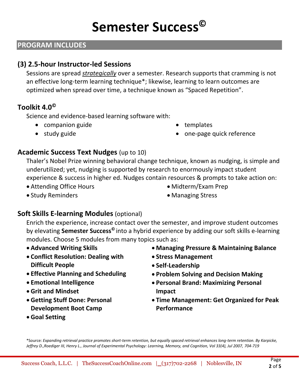# **Semester Success©**

# **PROGRAM INCLUDES**

# **(3) 2.5-hour Instructor-led Sessions**

Sessions are spread *strategically* over a semester. Research supports that cramming is not an effective long-term learning technique\*; likewise, learning to learn outcomes are optimized when spread over time, a technique known as "Spaced Repetition".

# **Toolkit 4.0©**

Science and evidence-based learning software with:

- companion guide
- study guide
- templates
- one-page quick reference

# **Academic Success Text Nudges** (up to 10)

Thaler's Nobel Prize winning behavioral change technique, known as nudging, is simple and underutilized; yet, nudging is supported by research to enormously impact student experience & success in higher ed. Nudges contain resources & prompts to take action on:

- Attending Office Hours
- Study Reminders
- Midterm/Exam Prep
- Managing Stress

# **Soft Skills E-learning Modules** (optional)

Enrich the experience, increase contact over the semester, and improve student outcomes by elevating **Semester Success©** into a hybrid experience by adding our soft skills e-learning modules. Choose 5 modules from many topics such as:

- **Advanced Writing Skills**
- **Conflict Resolution: Dealing with Difficult People**
- **Effective Planning and Scheduling**
- **Emotional Intelligence**
- **Grit and Mindset**
- **Getting Stuff Done: Personal Development Boot Camp**
- **Goal Setting**
- **Managing Pressure & Maintaining Balance**
- **Stress Management**
- **Self-Leadership**
- **Problem Solving and Decision Making**
- **Personal Brand: Maximizing Personal Impact**
- **Time Management: Get Organized for Peak Performance**

\*Source: *Expanding retrieval practice promotes short-term retention, but equally spaced retrieval enhances long-term retention. By Karpicke, Jeffrey D.,Roediger III, Henry L., Journal of Experimental Psychology: Learning, Memory, and Cognition, Vol 33(4), Jul 2007, 704-719*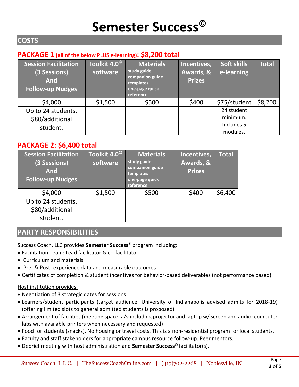#### **COSTS**

#### **PACKAGE 1 (all of the below PLUS e-learning): \$8,200 total**

| <b>Session Facilitation</b><br>(3 Sessions)<br>And<br><b>Follow-up Nudges</b> | Toolkit 4.0 <sup>©</sup><br>software | <b>Materials</b><br>study guide<br>companion guide<br>templates<br>one-page quick<br>reference | Incentives,<br>Awards, &<br><b>Prizes</b> | Soft skills<br>e-learning | <b>Total</b> |
|-------------------------------------------------------------------------------|--------------------------------------|------------------------------------------------------------------------------------------------|-------------------------------------------|---------------------------|--------------|
| \$4,000                                                                       | \$1,500                              | \$500                                                                                          | \$400                                     | \$75/student              | \$8,200      |
| Up to 24 students.                                                            |                                      |                                                                                                |                                           | 24 student                |              |
| \$80/additional                                                               |                                      |                                                                                                |                                           | minimum.                  |              |
| student.                                                                      |                                      |                                                                                                |                                           | Includes 5                |              |
|                                                                               |                                      |                                                                                                |                                           | modules.                  |              |

#### **PACKAGE 2: \$6,400 total**

| <b>Session Facilitation</b><br>(3 Sessions)<br><b>And</b><br><b>Follow-up Nudges</b> | Toolkit 4.0 <sup>°</sup><br>software | <b>Materials</b><br>study guide<br>companion guide<br>templates<br>one-page quick<br>reference | Incentives,<br>Awards, &<br><b>Prizes</b> | <b>Total</b> |
|--------------------------------------------------------------------------------------|--------------------------------------|------------------------------------------------------------------------------------------------|-------------------------------------------|--------------|
| \$4,000                                                                              | \$1,500                              | \$500                                                                                          | \$400                                     | \$6,400      |
| Up to 24 students.<br>\$80/additional<br>student.                                    |                                      |                                                                                                |                                           |              |

#### **PARTY RESPONSIBILITIES**

Success Coach, LLC provides **Semester Success©** program including:

- Facilitation Team: Lead facilitator & co-facilitator
- Curriculum and materials
- Pre- & Post- experience data and measurable outcomes
- Certificates of completion & student incentives for behavior-based deliverables (not performance based)

#### Host institution provides:

- Negotiation of 3 strategic dates for sessions
- Learners/student participants (target audience: University of Indianapolis advised admits for 2018-19) (offering limited slots to general admitted students is proposed)
- Arrangement of facilities (meeting space, a/v including projector and laptop w/ screen and audio; computer labs with available printers when necessary and requested)
- Food for students (snacks). No housing or travel costs. This is a non-residential program for local students.
- Faculty and staff stakeholders for appropriate campus resource follow-up. Peer mentors.
- Debrief meeting with host administration and **Semester Success©** facilitator(s).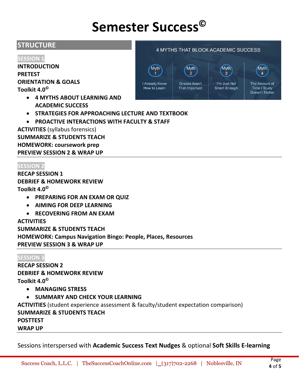# **Semester Success©**

# **STRUCTURE**

#### **SESSION 1**

**INTRODUCTION PRETEST ORIENTATION & GOALS Toolkit 4.0©**

- **4 MYTHS ABOUT LEARNING AND ACADEMIC SUCCESS**
- **STRATEGIES FOR APPROACHING LECTURE AND TEXTBOOK**
- **PROACTIVE INTERACTIONS WITH FACULTY & STAFF**

**ACTIVITIES** (syllabus forensics) **SUMMARIZE & STUDENTS TEACH HOMEWORK: coursework prep PREVIEW SESSION 2 & WRAP UP**

#### **SESSION 2**

**RECAP SESSION 1 DEBRIEF & HOMEWORK REVIEW Toolkit 4.0©**

- **PREPARING FOR AN EXAM OR QUIZ**
- **AIMING FOR DEEP LEARNING**
- **RECOVERING FROM AN EXAM**

#### **ACTIVITIES**

**SUMMARIZE & STUDENTS TEACH HOMEWORK: Campus Navigation Bingo: People, Places, Resources PREVIEW SESSION 3 & WRAP UP**

#### **SESSION 3**

**RECAP SESSION 2 DEBRIEF & HOMEWORK REVIEW Toolkit 4.0©**

- **MANAGING STRESS**
- **SUMMARY AND CHECK YOUR LEARNING**

**ACTIVITIES** (student experience assessment & faculty/student expectation comparison)

# **SUMMARIZE & STUDENTS TEACH**

**POSTTEST WRAP UP**

Sessions interspersed with **Academic Success Text Nudges** & optional **Soft Skills E-learning**